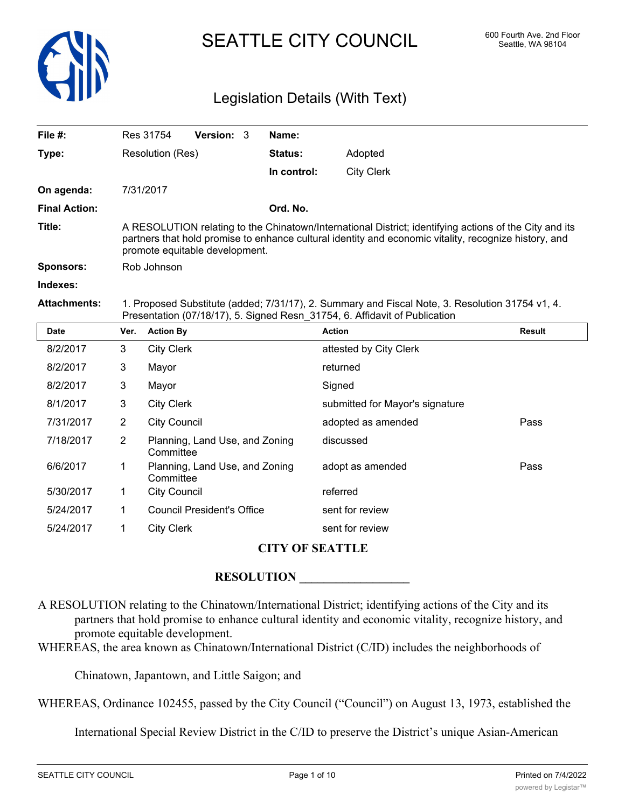

# SEATTLE CITY COUNCIL 600 Fourth Ave. 2nd Floor

## Legislation Details (With Text)

| File $#$ :           |                                                                                                                                                                                                                                                   | Res 31754                                   | Version: 3                        |  | Name:       |                                 |               |  |
|----------------------|---------------------------------------------------------------------------------------------------------------------------------------------------------------------------------------------------------------------------------------------------|---------------------------------------------|-----------------------------------|--|-------------|---------------------------------|---------------|--|
| Type:                |                                                                                                                                                                                                                                                   | Resolution (Res)                            |                                   |  | Status:     | Adopted                         |               |  |
|                      |                                                                                                                                                                                                                                                   |                                             |                                   |  | In control: | <b>City Clerk</b>               |               |  |
| On agenda:           |                                                                                                                                                                                                                                                   | 7/31/2017                                   |                                   |  |             |                                 |               |  |
| <b>Final Action:</b> |                                                                                                                                                                                                                                                   |                                             |                                   |  | Ord. No.    |                                 |               |  |
| Title:               | A RESOLUTION relating to the Chinatown/International District; identifying actions of the City and its<br>partners that hold promise to enhance cultural identity and economic vitality, recognize history, and<br>promote equitable development. |                                             |                                   |  |             |                                 |               |  |
| <b>Sponsors:</b>     | Rob Johnson                                                                                                                                                                                                                                       |                                             |                                   |  |             |                                 |               |  |
| Indexes:             |                                                                                                                                                                                                                                                   |                                             |                                   |  |             |                                 |               |  |
| <b>Attachments:</b>  | 1. Proposed Substitute (added; 7/31/17), 2. Summary and Fiscal Note, 3. Resolution 31754 v1, 4.<br>Presentation (07/18/17), 5. Signed Resn_31754, 6. Affidavit of Publication                                                                     |                                             |                                   |  |             |                                 |               |  |
| <b>Date</b>          | Ver.                                                                                                                                                                                                                                              | <b>Action By</b>                            |                                   |  |             | <b>Action</b>                   | <b>Result</b> |  |
| 8/2/2017             | 3                                                                                                                                                                                                                                                 | <b>City Clerk</b>                           |                                   |  |             | attested by City Clerk          |               |  |
| 8/2/2017             | 3                                                                                                                                                                                                                                                 | Mayor                                       |                                   |  |             | returned                        |               |  |
| 8/2/2017             | 3                                                                                                                                                                                                                                                 | Mayor                                       |                                   |  |             | Signed                          |               |  |
| 8/1/2017             | 3                                                                                                                                                                                                                                                 | <b>City Clerk</b>                           |                                   |  |             | submitted for Mayor's signature |               |  |
| 7/31/2017            | $\overline{2}$                                                                                                                                                                                                                                    | <b>City Council</b>                         |                                   |  |             | adopted as amended              | Pass          |  |
| 7/18/2017            | $\overline{2}$                                                                                                                                                                                                                                    | Planning, Land Use, and Zoning<br>Committee |                                   |  |             | discussed                       |               |  |
| 6/6/2017             | 1.                                                                                                                                                                                                                                                | Planning, Land Use, and Zoning<br>Committee |                                   |  |             | adopt as amended                | Pass          |  |
| 5/30/2017            | 1                                                                                                                                                                                                                                                 | <b>City Council</b>                         |                                   |  |             | referred                        |               |  |
| 5/24/2017            | 1                                                                                                                                                                                                                                                 |                                             | <b>Council President's Office</b> |  |             | sent for review                 |               |  |

### **CITY OF SEATTLE**

### ${\bf RESOLUTION}$

A RESOLUTION relating to the Chinatown/International District; identifying actions of the City and its partners that hold promise to enhance cultural identity and economic vitality, recognize history, and promote equitable development.

WHEREAS, the area known as Chinatown/International District (C/ID) includes the neighborhoods of

Chinatown, Japantown, and Little Saigon; and

5/24/2017 1 City Clerk sent for review

WHEREAS, Ordinance 102455, passed by the City Council ("Council") on August 13, 1973, established the

International Special Review District in the C/ID to preserve the District's unique Asian-American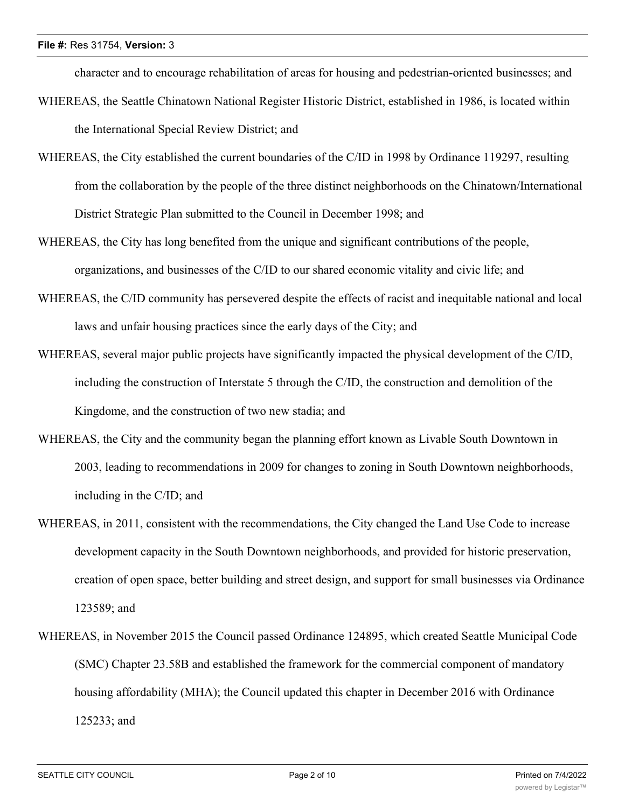character and to encourage rehabilitation of areas for housing and pedestrian-oriented businesses; and

- WHEREAS, the Seattle Chinatown National Register Historic District, established in 1986, is located within the International Special Review District; and
- WHEREAS, the City established the current boundaries of the C/ID in 1998 by Ordinance 119297, resulting from the collaboration by the people of the three distinct neighborhoods on the Chinatown/International District Strategic Plan submitted to the Council in December 1998; and
- WHEREAS, the City has long benefited from the unique and significant contributions of the people, organizations, and businesses of the C/ID to our shared economic vitality and civic life; and
- WHEREAS, the C/ID community has persevered despite the effects of racist and inequitable national and local laws and unfair housing practices since the early days of the City; and
- WHEREAS, several major public projects have significantly impacted the physical development of the C/ID, including the construction of Interstate 5 through the C/ID, the construction and demolition of the Kingdome, and the construction of two new stadia; and
- WHEREAS, the City and the community began the planning effort known as Livable South Downtown in 2003, leading to recommendations in 2009 for changes to zoning in South Downtown neighborhoods, including in the C/ID; and
- WHEREAS, in 2011, consistent with the recommendations, the City changed the Land Use Code to increase development capacity in the South Downtown neighborhoods, and provided for historic preservation, creation of open space, better building and street design, and support for small businesses via Ordinance 123589; and
- WHEREAS, in November 2015 the Council passed Ordinance 124895, which created Seattle Municipal Code (SMC) Chapter 23.58B and established the framework for the commercial component of mandatory housing affordability (MHA); the Council updated this chapter in December 2016 with Ordinance 125233; and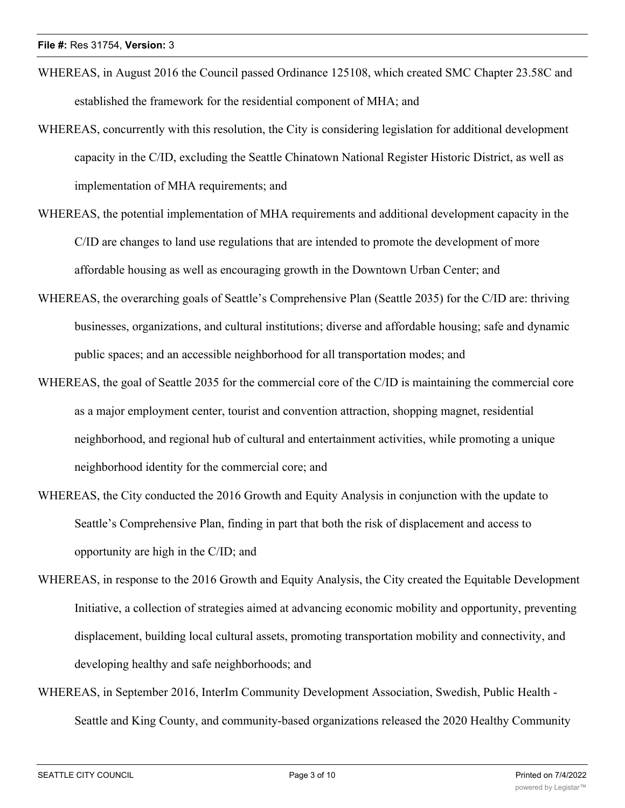- WHEREAS, in August 2016 the Council passed Ordinance 125108, which created SMC Chapter 23.58C and established the framework for the residential component of MHA; and
- WHEREAS, concurrently with this resolution, the City is considering legislation for additional development capacity in the C/ID, excluding the Seattle Chinatown National Register Historic District, as well as implementation of MHA requirements; and
- WHEREAS, the potential implementation of MHA requirements and additional development capacity in the C/ID are changes to land use regulations that are intended to promote the development of more affordable housing as well as encouraging growth in the Downtown Urban Center; and
- WHEREAS, the overarching goals of Seattle's Comprehensive Plan (Seattle 2035) for the C/ID are: thriving businesses, organizations, and cultural institutions; diverse and affordable housing; safe and dynamic public spaces; and an accessible neighborhood for all transportation modes; and
- WHEREAS, the goal of Seattle 2035 for the commercial core of the C/ID is maintaining the commercial core as a major employment center, tourist and convention attraction, shopping magnet, residential neighborhood, and regional hub of cultural and entertainment activities, while promoting a unique neighborhood identity for the commercial core; and
- WHEREAS, the City conducted the 2016 Growth and Equity Analysis in conjunction with the update to Seattle's Comprehensive Plan, finding in part that both the risk of displacement and access to opportunity are high in the C/ID; and
- WHEREAS, in response to the 2016 Growth and Equity Analysis, the City created the Equitable Development Initiative, a collection of strategies aimed at advancing economic mobility and opportunity, preventing displacement, building local cultural assets, promoting transportation mobility and connectivity, and developing healthy and safe neighborhoods; and
- WHEREAS, in September 2016, InterIm Community Development Association, Swedish, Public Health Seattle and King County, and community-based organizations released the 2020 Healthy Community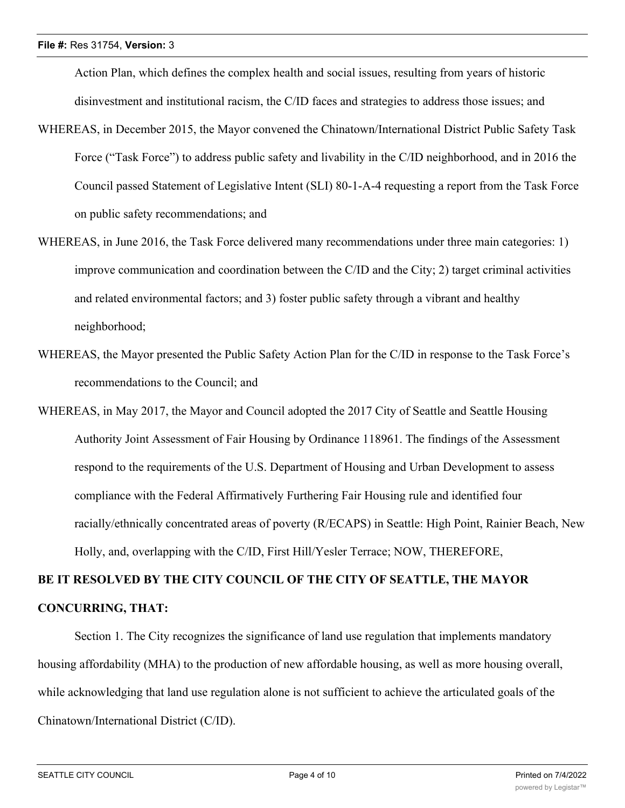Action Plan, which defines the complex health and social issues, resulting from years of historic disinvestment and institutional racism, the C/ID faces and strategies to address those issues; and

- WHEREAS, in December 2015, the Mayor convened the Chinatown/International District Public Safety Task Force ("Task Force") to address public safety and livability in the C/ID neighborhood, and in 2016 the Council passed Statement of Legislative Intent (SLI) 80-1-A-4 requesting a report from the Task Force on public safety recommendations; and
- WHEREAS, in June 2016, the Task Force delivered many recommendations under three main categories: 1) improve communication and coordination between the C/ID and the City; 2) target criminal activities and related environmental factors; and 3) foster public safety through a vibrant and healthy neighborhood;
- WHEREAS, the Mayor presented the Public Safety Action Plan for the C/ID in response to the Task Force's recommendations to the Council; and
- WHEREAS, in May 2017, the Mayor and Council adopted the 2017 City of Seattle and Seattle Housing Authority Joint Assessment of Fair Housing by Ordinance 118961. The findings of the Assessment respond to the requirements of the U.S. Department of Housing and Urban Development to assess compliance with the Federal Affirmatively Furthering Fair Housing rule and identified four racially/ethnically concentrated areas of poverty (R/ECAPS) in Seattle: High Point, Rainier Beach, New Holly, and, overlapping with the C/ID, First Hill/Yesler Terrace; NOW, THEREFORE,

# **BE IT RESOLVED BY THE CITY COUNCIL OF THE CITY OF SEATTLE, THE MAYOR CONCURRING, THAT:**

Section 1. The City recognizes the significance of land use regulation that implements mandatory housing affordability (MHA) to the production of new affordable housing, as well as more housing overall, while acknowledging that land use regulation alone is not sufficient to achieve the articulated goals of the Chinatown/International District (C/ID).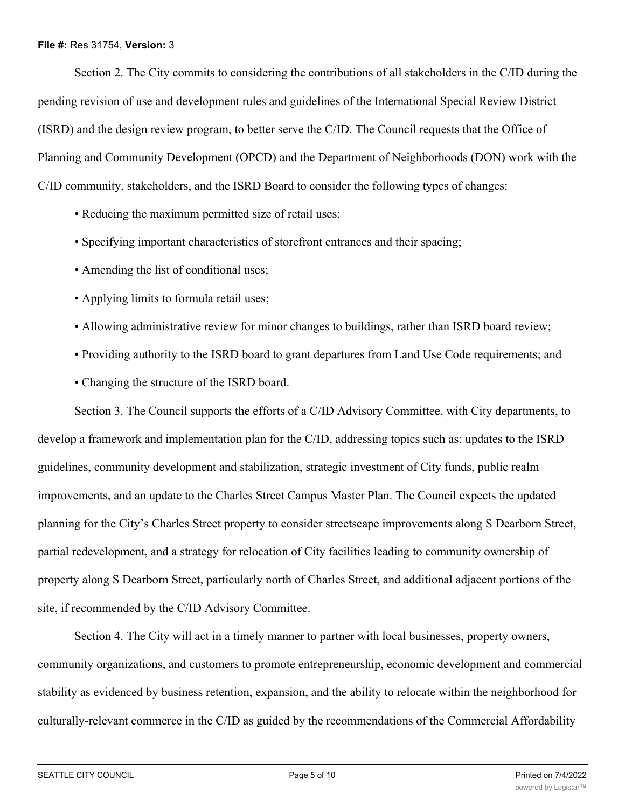### **File #:** Res 31754, **Version:** 3

Section 2. The City commits to considering the contributions of all stakeholders in the C/ID during the pending revision of use and development rules and guidelines of the International Special Review District (ISRD) and the design review program, to better serve the C/ID. The Council requests that the Office of Planning and Community Development (OPCD) and the Department of Neighborhoods (DON) work with the C/ID community, stakeholders, and the ISRD Board to consider the following types of changes:

- Reducing the maximum permitted size of retail uses;
- Specifying important characteristics of storefront entrances and their spacing;
- Amending the list of conditional uses;
- Applying limits to formula retail uses;
- Allowing administrative review for minor changes to buildings, rather than ISRD board review;
- Providing authority to the ISRD board to grant departures from Land Use Code requirements; and
- Changing the structure of the ISRD board.

Section 3. The Council supports the efforts of a C/ID Advisory Committee, with City departments, to develop a framework and implementation plan for the C/ID, addressing topics such as: updates to the ISRD guidelines, community development and stabilization, strategic investment of City funds, public realm improvements, and an update to the Charles Street Campus Master Plan. The Council expects the updated planning for the City's Charles Street property to consider streetscape improvements along S Dearborn Street, partial redevelopment, and a strategy for relocation of City facilities leading to community ownership of property along S Dearborn Street, particularly north of Charles Street, and additional adjacent portions of the site, if recommended by the C/ID Advisory Committee.

Section 4. The City will act in a timely manner to partner with local businesses, property owners, community organizations, and customers to promote entrepreneurship, economic development and commercial stability as evidenced by business retention, expansion, and the ability to relocate within the neighborhood for culturally-relevant commerce in the C/ID as guided by the recommendations of the Commercial Affordability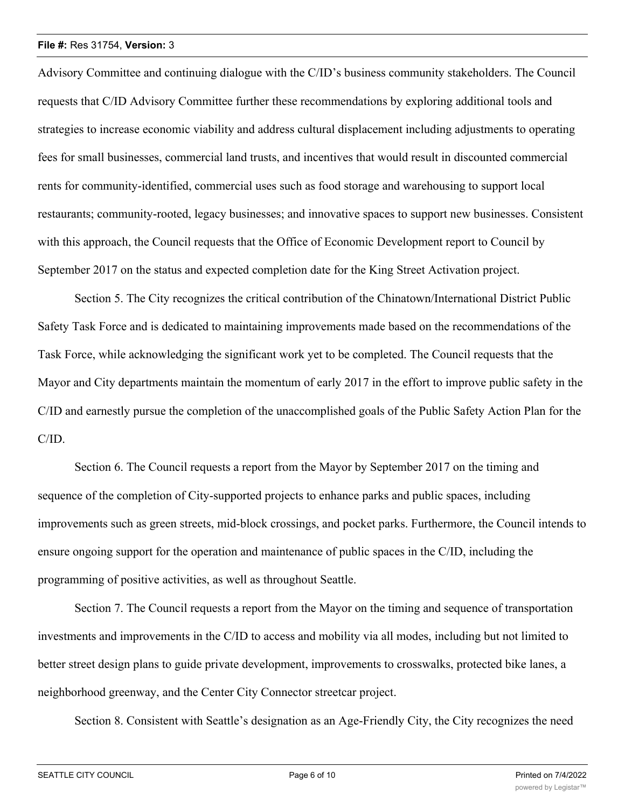### **File #:** Res 31754, **Version:** 3

Advisory Committee and continuing dialogue with the C/ID's business community stakeholders. The Council requests that C/ID Advisory Committee further these recommendations by exploring additional tools and strategies to increase economic viability and address cultural displacement including adjustments to operating fees for small businesses, commercial land trusts, and incentives that would result in discounted commercial rents for community-identified, commercial uses such as food storage and warehousing to support local restaurants; community-rooted, legacy businesses; and innovative spaces to support new businesses. Consistent with this approach, the Council requests that the Office of Economic Development report to Council by September 2017 on the status and expected completion date for the King Street Activation project.

Section 5. The City recognizes the critical contribution of the Chinatown/International District Public Safety Task Force and is dedicated to maintaining improvements made based on the recommendations of the Task Force, while acknowledging the significant work yet to be completed. The Council requests that the Mayor and City departments maintain the momentum of early 2017 in the effort to improve public safety in the C/ID and earnestly pursue the completion of the unaccomplished goals of the Public Safety Action Plan for the C/ID.

Section 6. The Council requests a report from the Mayor by September 2017 on the timing and sequence of the completion of City-supported projects to enhance parks and public spaces, including improvements such as green streets, mid-block crossings, and pocket parks. Furthermore, the Council intends to ensure ongoing support for the operation and maintenance of public spaces in the C/ID, including the programming of positive activities, as well as throughout Seattle.

Section 7. The Council requests a report from the Mayor on the timing and sequence of transportation investments and improvements in the C/ID to access and mobility via all modes, including but not limited to better street design plans to guide private development, improvements to crosswalks, protected bike lanes, a neighborhood greenway, and the Center City Connector streetcar project.

Section 8. Consistent with Seattle's designation as an Age-Friendly City, the City recognizes the need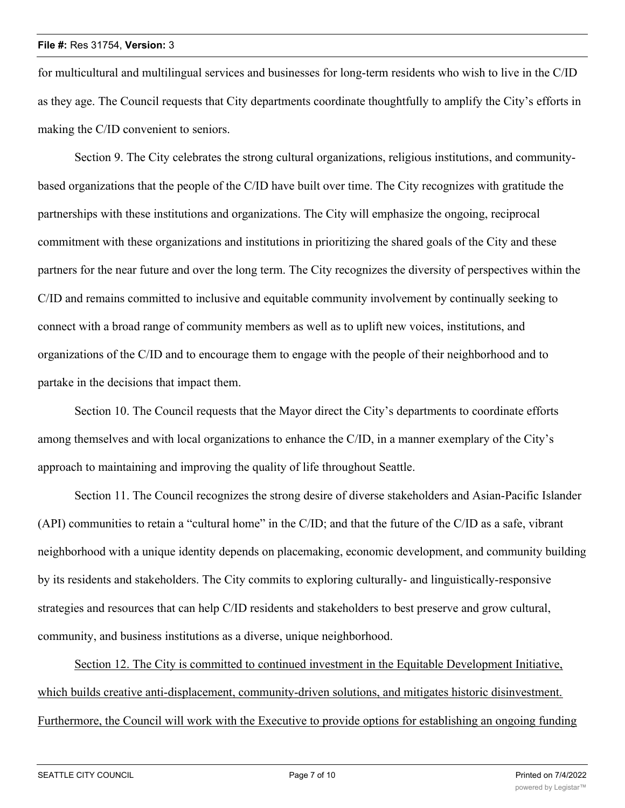for multicultural and multilingual services and businesses for long-term residents who wish to live in the C/ID as they age. The Council requests that City departments coordinate thoughtfully to amplify the City's efforts in making the C/ID convenient to seniors.

Section 9. The City celebrates the strong cultural organizations, religious institutions, and communitybased organizations that the people of the C/ID have built over time. The City recognizes with gratitude the partnerships with these institutions and organizations. The City will emphasize the ongoing, reciprocal commitment with these organizations and institutions in prioritizing the shared goals of the City and these partners for the near future and over the long term. The City recognizes the diversity of perspectives within the C/ID and remains committed to inclusive and equitable community involvement by continually seeking to connect with a broad range of community members as well as to uplift new voices, institutions, and organizations of the C/ID and to encourage them to engage with the people of their neighborhood and to partake in the decisions that impact them.

Section 10. The Council requests that the Mayor direct the City's departments to coordinate efforts among themselves and with local organizations to enhance the C/ID, in a manner exemplary of the City's approach to maintaining and improving the quality of life throughout Seattle.

Section 11. The Council recognizes the strong desire of diverse stakeholders and Asian-Pacific Islander (API) communities to retain a "cultural home" in the C/ID; and that the future of the C/ID as a safe, vibrant neighborhood with a unique identity depends on placemaking, economic development, and community building by its residents and stakeholders. The City commits to exploring culturally- and linguistically-responsive strategies and resources that can help C/ID residents and stakeholders to best preserve and grow cultural, community, and business institutions as a diverse, unique neighborhood.

Section 12. The City is committed to continued investment in the Equitable Development Initiative, which builds creative anti-displacement, community-driven solutions, and mitigates historic disinvestment. Furthermore, the Council will work with the Executive to provide options for establishing an ongoing funding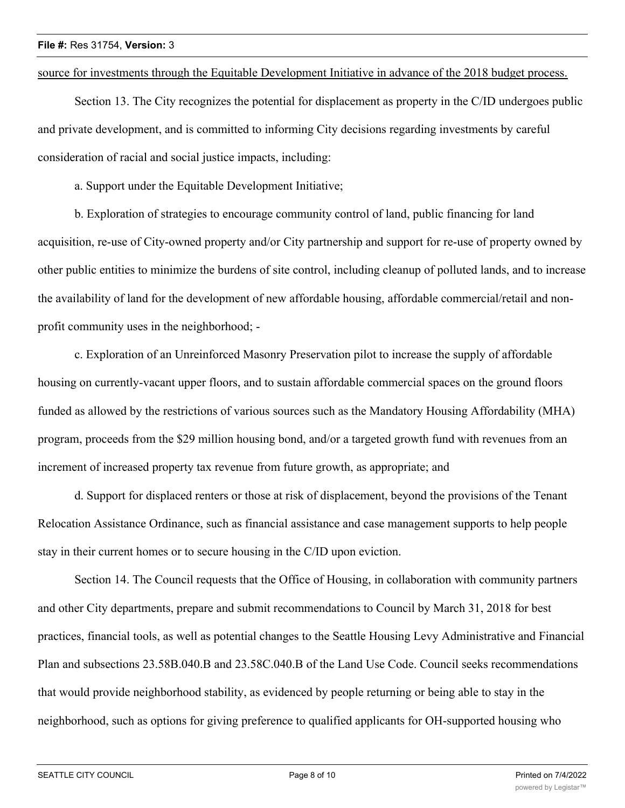source for investments through the Equitable Development Initiative in advance of the 2018 budget process.

Section 13. The City recognizes the potential for displacement as property in the C/ID undergoes public and private development, and is committed to informing City decisions regarding investments by careful consideration of racial and social justice impacts, including:

a. Support under the Equitable Development Initiative;

b. Exploration of strategies to encourage community control of land, public financing for land acquisition, re-use of City-owned property and/or City partnership and support for re-use of property owned by other public entities to minimize the burdens of site control, including cleanup of polluted lands, and to increase the availability of land for the development of new affordable housing, affordable commercial/retail and nonprofit community uses in the neighborhood; -

c. Exploration of an Unreinforced Masonry Preservation pilot to increase the supply of affordable housing on currently-vacant upper floors, and to sustain affordable commercial spaces on the ground floors funded as allowed by the restrictions of various sources such as the Mandatory Housing Affordability (MHA) program, proceeds from the \$29 million housing bond, and/or a targeted growth fund with revenues from an increment of increased property tax revenue from future growth, as appropriate; and

d. Support for displaced renters or those at risk of displacement, beyond the provisions of the Tenant Relocation Assistance Ordinance, such as financial assistance and case management supports to help people stay in their current homes or to secure housing in the C/ID upon eviction.

Section 14. The Council requests that the Office of Housing, in collaboration with community partners and other City departments, prepare and submit recommendations to Council by March 31, 2018 for best practices, financial tools, as well as potential changes to the Seattle Housing Levy Administrative and Financial Plan and subsections 23.58B.040.B and 23.58C.040.B of the Land Use Code. Council seeks recommendations that would provide neighborhood stability, as evidenced by people returning or being able to stay in the neighborhood, such as options for giving preference to qualified applicants for OH-supported housing who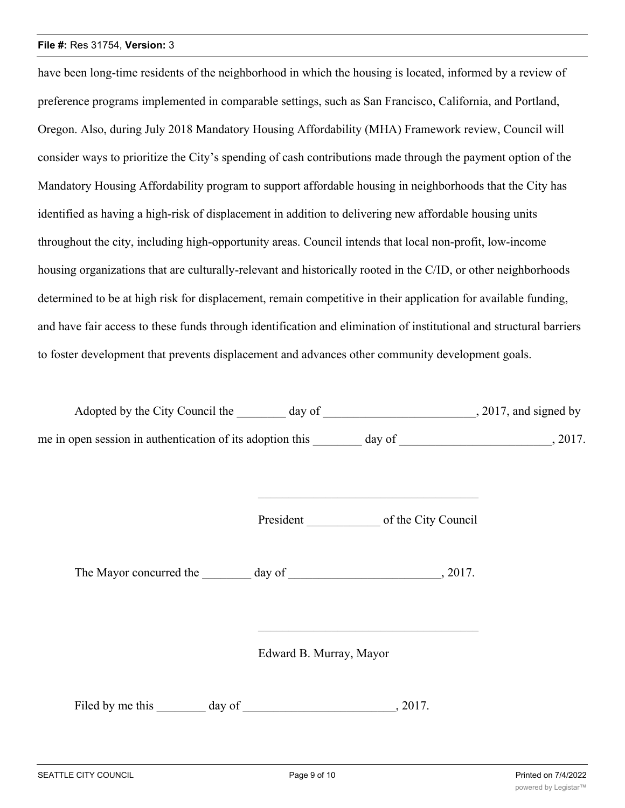### **File #:** Res 31754, **Version:** 3

have been long-time residents of the neighborhood in which the housing is located, informed by a review of preference programs implemented in comparable settings, such as San Francisco, California, and Portland, Oregon. Also, during July 2018 Mandatory Housing Affordability (MHA) Framework review, Council will consider ways to prioritize the City's spending of cash contributions made through the payment option of the Mandatory Housing Affordability program to support affordable housing in neighborhoods that the City has identified as having a high-risk of displacement in addition to delivering new affordable housing units throughout the city, including high-opportunity areas. Council intends that local non-profit, low-income housing organizations that are culturally-relevant and historically rooted in the C/ID, or other neighborhoods determined to be at high risk for displacement, remain competitive in their application for available funding, and have fair access to these funds through identification and elimination of institutional and structural barriers to foster development that prevents displacement and advances other community development goals.

Adopted by the City Council the \_\_\_\_\_\_\_ day of \_\_\_\_\_\_\_\_\_\_\_\_\_\_\_\_\_\_\_\_\_\_\_\_\_, 2017, and signed by me in open session in authentication of its adoption this day of  $\frac{1}{2017}$ .

President \_\_\_\_\_\_\_\_\_\_\_\_ of the City Council

The Mayor concurred the day of the  $\sim$ , 2017.

Edward B. Murray, Mayor

Filed by me this day of  $\qquad \qquad$ , 2017.